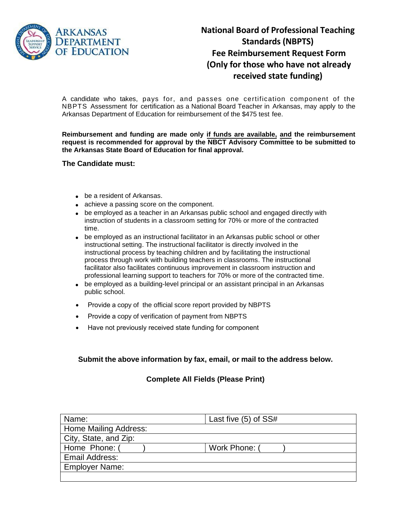

## **National Board of Professional Teaching Standards (NBPTS) Fee Reimbursement Request Form (Only for those who have not already received state funding)**

A candidate who takes, pays for, and passes one certification component of the NBPTS Assessment for certification as a National Board Teacher in Arkansas, may apply to the Arkansas Department of Education for reimbursement of the \$475 test fee.

**Reimbursement and funding are made only if funds are available, and the reimbursement request is recommended for approval by the NBCT Advisory Committee to be submitted to the Arkansas State Board of Education for final approval.** 

## **The Candidate must:**

- be a resident of Arkansas.
- achieve a passing score on the component.
- be employed as a teacher in an Arkansas public school and engaged directly with instruction of students in a classroom setting for 70% or more of the contracted time.
- be employed as an instructional facilitator in an Arkansas public school or other instructional setting. The instructional facilitator is directly involved in the instructional process by teaching children and by facilitating the instructional process through work with building teachers in classrooms. The instructional facilitator also facilitates continuous improvement in classroom instruction and professional learning support to teachers for 70% or more of the contracted time.
- be employed as a building-level principal or an assistant principal in an Arkansas public school.
- Provide a copy of the official score report provided by NBPTS
- Provide a copy of verification of payment from NBPTS
- Have not previously received state funding for component

**Submit the above information by fax, email, or mail to the address below.** 

## **Complete All Fields (Please Print)**

| Name:                 | Last five $(5)$ of SS# |
|-----------------------|------------------------|
| Home Mailing Address: |                        |
| City, State, and Zip: |                        |
| Home Phone: (         | Work Phone:            |
| Email Address:        |                        |
| <b>Employer Name:</b> |                        |
|                       |                        |